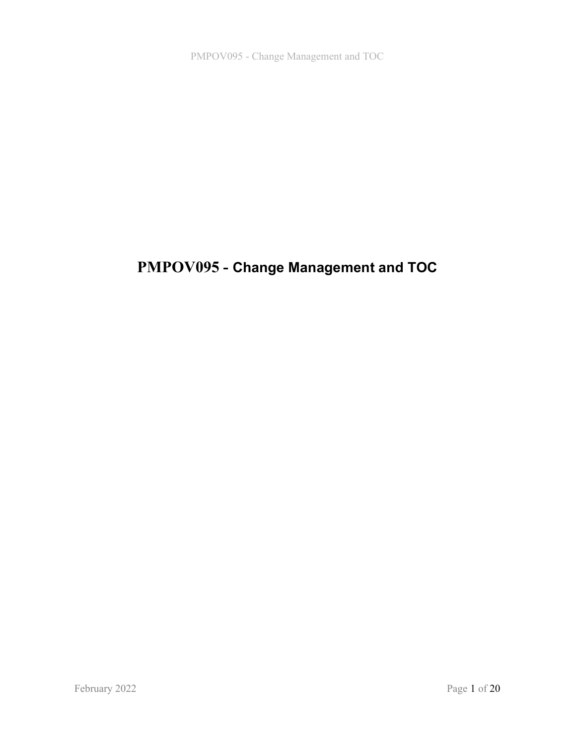# PMPOV095 - Change Management and TOC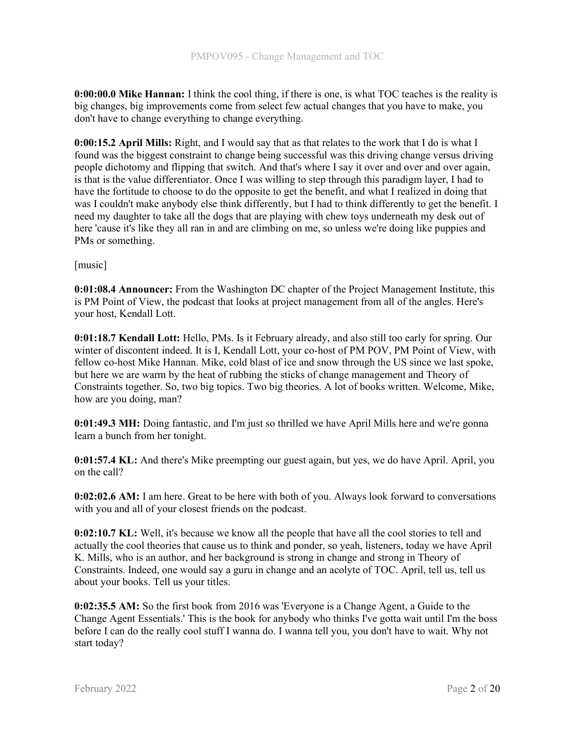0:00:00.0 Mike Hannan: I think the cool thing, if there is one, is what TOC teaches is the reality is big changes, big improvements come from select few actual changes that you have to make, you don't have to change everything to change everything.

0:00:15.2 April Mills: Right, and I would say that as that relates to the work that I do is what I found was the biggest constraint to change being successful was this driving change versus driving people dichotomy and flipping that switch. And that's where I say it over and over and over again, is that is the value differentiator. Once I was willing to step through this paradigm layer, I had to have the fortitude to choose to do the opposite to get the benefit, and what I realized in doing that was I couldn't make anybody else think differently, but I had to think differently to get the benefit. I need my daughter to take all the dogs that are playing with chew toys underneath my desk out of here 'cause it's like they all ran in and are climbing on me, so unless we're doing like puppies and PMs or something.

[music]

0:01:08.4 Announcer: From the Washington DC chapter of the Project Management Institute, this is PM Point of View, the podcast that looks at project management from all of the angles. Here's your host, Kendall Lott.

0:01:18.7 Kendall Lott: Hello, PMs. Is it February already, and also still too early for spring. Our winter of discontent indeed. It is I, Kendall Lott, your co-host of PM POV, PM Point of View, with fellow co-host Mike Hannan. Mike, cold blast of ice and snow through the US since we last spoke, but here we are warm by the heat of rubbing the sticks of change management and Theory of Constraints together. So, two big topics. Two big theories. A lot of books written. Welcome, Mike, how are you doing, man?

0:01:49.3 MH: Doing fantastic, and I'm just so thrilled we have April Mills here and we're gonna learn a bunch from her tonight.

0:01:57.4 KL: And there's Mike preempting our guest again, but yes, we do have April. April, you on the call?

0:02:02.6 AM: I am here. Great to be here with both of you. Always look forward to conversations with you and all of your closest friends on the podcast.

0:02:10.7 KL: Well, it's because we know all the people that have all the cool stories to tell and actually the cool theories that cause us to think and ponder, so yeah, listeners, today we have April K. Mills, who is an author, and her background is strong in change and strong in Theory of Constraints. Indeed, one would say a guru in change and an acolyte of TOC. April, tell us, tell us about your books. Tell us your titles.

0:02:35.5 AM: So the first book from 2016 was 'Everyone is a Change Agent, a Guide to the Change Agent Essentials.' This is the book for anybody who thinks I've gotta wait until I'm the boss before I can do the really cool stuff I wanna do. I wanna tell you, you don't have to wait. Why not start today?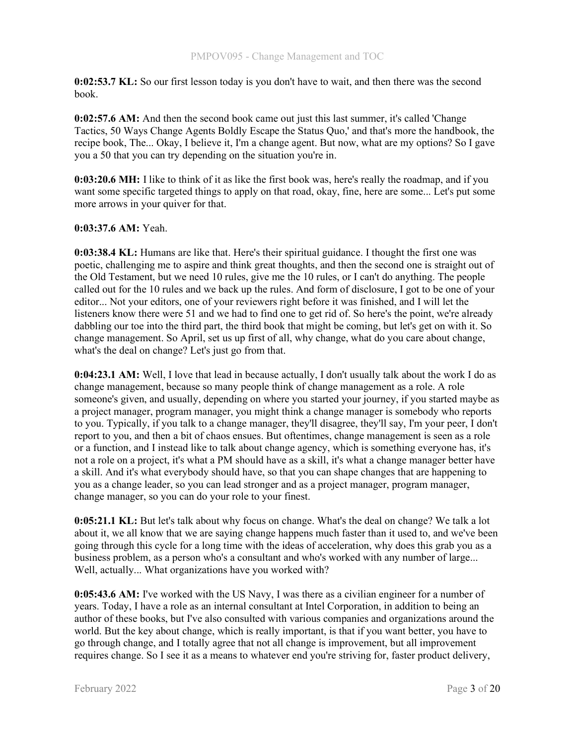0:02:53.7 KL: So our first lesson today is you don't have to wait, and then there was the second book.

0:02:57.6 AM: And then the second book came out just this last summer, it's called 'Change Tactics, 50 Ways Change Agents Boldly Escape the Status Quo,' and that's more the handbook, the recipe book, The... Okay, I believe it, I'm a change agent. But now, what are my options? So I gave you a 50 that you can try depending on the situation you're in.

0:03:20.6 MH: I like to think of it as like the first book was, here's really the roadmap, and if you want some specific targeted things to apply on that road, okay, fine, here are some... Let's put some more arrows in your quiver for that.

# 0:03:37.6 AM: Yeah.

0:03:38.4 KL: Humans are like that. Here's their spiritual guidance. I thought the first one was poetic, challenging me to aspire and think great thoughts, and then the second one is straight out of the Old Testament, but we need 10 rules, give me the 10 rules, or I can't do anything. The people called out for the 10 rules and we back up the rules. And form of disclosure, I got to be one of your editor... Not your editors, one of your reviewers right before it was finished, and I will let the listeners know there were 51 and we had to find one to get rid of. So here's the point, we're already dabbling our toe into the third part, the third book that might be coming, but let's get on with it. So change management. So April, set us up first of all, why change, what do you care about change, what's the deal on change? Let's just go from that.

0:04:23.1 AM: Well, I love that lead in because actually, I don't usually talk about the work I do as change management, because so many people think of change management as a role. A role someone's given, and usually, depending on where you started your journey, if you started maybe as a project manager, program manager, you might think a change manager is somebody who reports to you. Typically, if you talk to a change manager, they'll disagree, they'll say, I'm your peer, I don't report to you, and then a bit of chaos ensues. But oftentimes, change management is seen as a role or a function, and I instead like to talk about change agency, which is something everyone has, it's not a role on a project, it's what a PM should have as a skill, it's what a change manager better have a skill. And it's what everybody should have, so that you can shape changes that are happening to you as a change leader, so you can lead stronger and as a project manager, program manager, change manager, so you can do your role to your finest.

0:05:21.1 KL: But let's talk about why focus on change. What's the deal on change? We talk a lot about it, we all know that we are saying change happens much faster than it used to, and we've been going through this cycle for a long time with the ideas of acceleration, why does this grab you as a business problem, as a person who's a consultant and who's worked with any number of large... Well, actually... What organizations have you worked with?

0:05:43.6 AM: I've worked with the US Navy, I was there as a civilian engineer for a number of years. Today, I have a role as an internal consultant at Intel Corporation, in addition to being an author of these books, but I've also consulted with various companies and organizations around the world. But the key about change, which is really important, is that if you want better, you have to go through change, and I totally agree that not all change is improvement, but all improvement requires change. So I see it as a means to whatever end you're striving for, faster product delivery,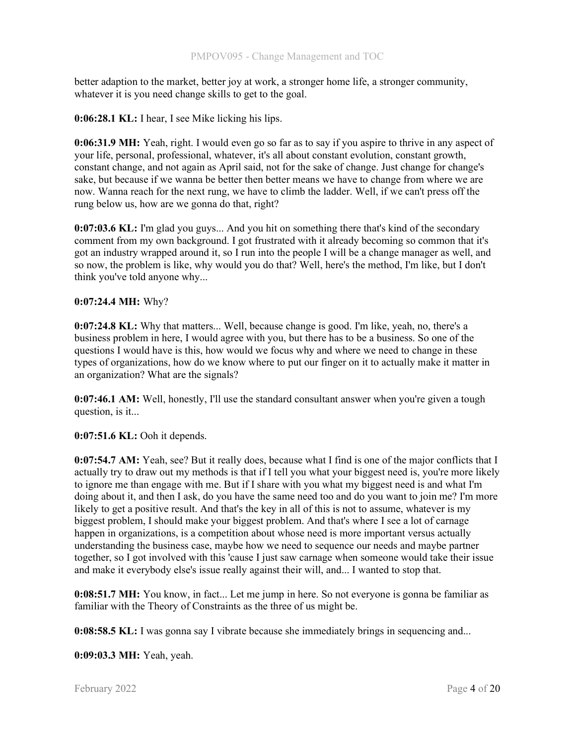better adaption to the market, better joy at work, a stronger home life, a stronger community, whatever it is you need change skills to get to the goal.

0:06:28.1 KL: I hear, I see Mike licking his lips.

0:06:31.9 MH: Yeah, right. I would even go so far as to say if you aspire to thrive in any aspect of your life, personal, professional, whatever, it's all about constant evolution, constant growth, constant change, and not again as April said, not for the sake of change. Just change for change's sake, but because if we wanna be better then better means we have to change from where we are now. Wanna reach for the next rung, we have to climb the ladder. Well, if we can't press off the rung below us, how are we gonna do that, right?

0:07:03.6 KL: I'm glad you guys... And you hit on something there that's kind of the secondary comment from my own background. I got frustrated with it already becoming so common that it's got an industry wrapped around it, so I run into the people I will be a change manager as well, and so now, the problem is like, why would you do that? Well, here's the method, I'm like, but I don't think you've told anyone why...

## 0:07:24.4 MH: Why?

0:07:24.8 KL: Why that matters... Well, because change is good. I'm like, yeah, no, there's a business problem in here, I would agree with you, but there has to be a business. So one of the questions I would have is this, how would we focus why and where we need to change in these types of organizations, how do we know where to put our finger on it to actually make it matter in an organization? What are the signals?

0:07:46.1 AM: Well, honestly, I'll use the standard consultant answer when you're given a tough question, is it...

0:07:51.6 KL: Ooh it depends.

0:07:54.7 AM: Yeah, see? But it really does, because what I find is one of the major conflicts that I actually try to draw out my methods is that if I tell you what your biggest need is, you're more likely to ignore me than engage with me. But if I share with you what my biggest need is and what I'm doing about it, and then I ask, do you have the same need too and do you want to join me? I'm more likely to get a positive result. And that's the key in all of this is not to assume, whatever is my biggest problem, I should make your biggest problem. And that's where I see a lot of carnage happen in organizations, is a competition about whose need is more important versus actually understanding the business case, maybe how we need to sequence our needs and maybe partner together, so I got involved with this 'cause I just saw carnage when someone would take their issue and make it everybody else's issue really against their will, and... I wanted to stop that.

0:08:51.7 MH: You know, in fact... Let me jump in here. So not everyone is gonna be familiar as familiar with the Theory of Constraints as the three of us might be.

0:08:58.5 KL: I was gonna say I vibrate because she immediately brings in sequencing and...

0:09:03.3 MH: Yeah, yeah.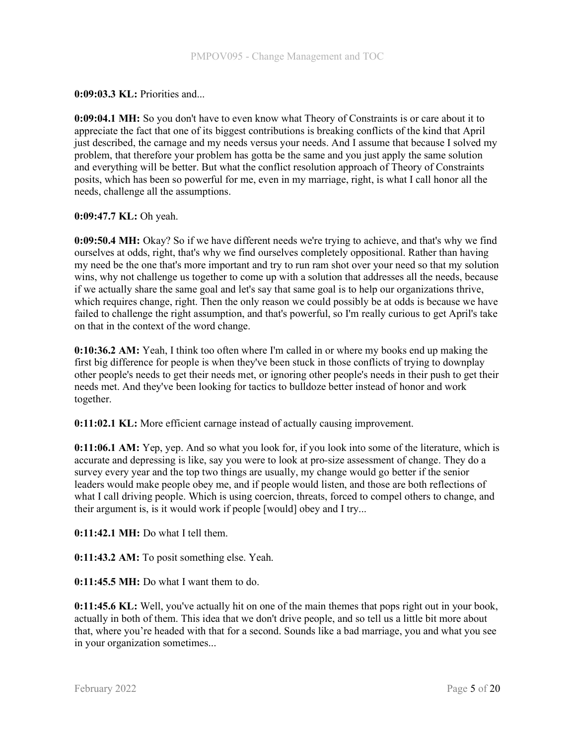0:09:03.3 KL: Priorities and...

0:09:04.1 MH: So you don't have to even know what Theory of Constraints is or care about it to appreciate the fact that one of its biggest contributions is breaking conflicts of the kind that April just described, the carnage and my needs versus your needs. And I assume that because I solved my problem, that therefore your problem has gotta be the same and you just apply the same solution and everything will be better. But what the conflict resolution approach of Theory of Constraints posits, which has been so powerful for me, even in my marriage, right, is what I call honor all the needs, challenge all the assumptions.

## 0:09:47.7 KL: Oh yeah.

0:09:50.4 MH: Okay? So if we have different needs we're trying to achieve, and that's why we find ourselves at odds, right, that's why we find ourselves completely oppositional. Rather than having my need be the one that's more important and try to run ram shot over your need so that my solution wins, why not challenge us together to come up with a solution that addresses all the needs, because if we actually share the same goal and let's say that same goal is to help our organizations thrive, which requires change, right. Then the only reason we could possibly be at odds is because we have failed to challenge the right assumption, and that's powerful, so I'm really curious to get April's take on that in the context of the word change.

0:10:36.2 AM: Yeah, I think too often where I'm called in or where my books end up making the first big difference for people is when they've been stuck in those conflicts of trying to downplay other people's needs to get their needs met, or ignoring other people's needs in their push to get their needs met. And they've been looking for tactics to bulldoze better instead of honor and work together.

0:11:02.1 KL: More efficient carnage instead of actually causing improvement.

0:11:06.1 AM: Yep, yep. And so what you look for, if you look into some of the literature, which is accurate and depressing is like, say you were to look at pro-size assessment of change. They do a survey every year and the top two things are usually, my change would go better if the senior leaders would make people obey me, and if people would listen, and those are both reflections of what I call driving people. Which is using coercion, threats, forced to compel others to change, and their argument is, is it would work if people [would] obey and I try...

0:11:42.1 MH: Do what I tell them.

0:11:43.2 AM: To posit something else. Yeah.

0:11:45.5 MH: Do what I want them to do.

0:11:45.6 KL: Well, you've actually hit on one of the main themes that pops right out in your book, actually in both of them. This idea that we don't drive people, and so tell us a little bit more about that, where you're headed with that for a second. Sounds like a bad marriage, you and what you see in your organization sometimes...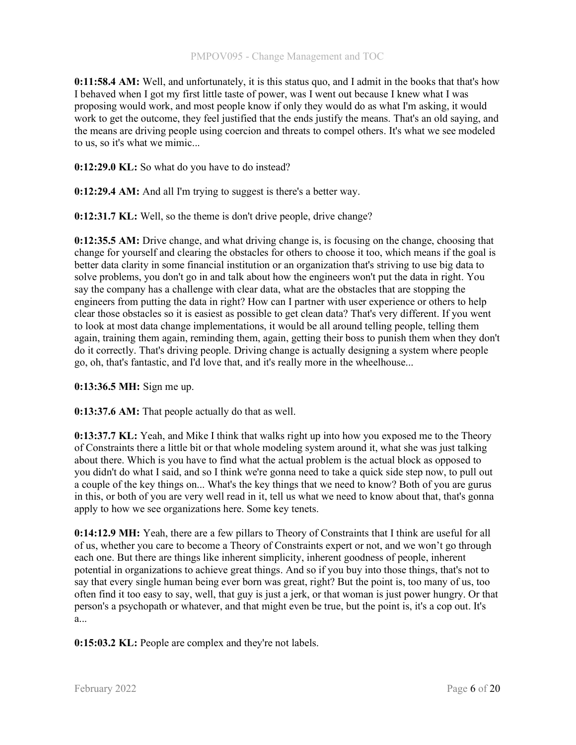0:11:58.4 AM: Well, and unfortunately, it is this status quo, and I admit in the books that that's how I behaved when I got my first little taste of power, was I went out because I knew what I was proposing would work, and most people know if only they would do as what I'm asking, it would work to get the outcome, they feel justified that the ends justify the means. That's an old saying, and the means are driving people using coercion and threats to compel others. It's what we see modeled to us, so it's what we mimic...

0:12:29.0 KL: So what do you have to do instead?

0:12:29.4 AM: And all I'm trying to suggest is there's a better way.

0:12:31.7 KL: Well, so the theme is don't drive people, drive change?

0:12:35.5 AM: Drive change, and what driving change is, is focusing on the change, choosing that change for yourself and clearing the obstacles for others to choose it too, which means if the goal is better data clarity in some financial institution or an organization that's striving to use big data to solve problems, you don't go in and talk about how the engineers won't put the data in right. You say the company has a challenge with clear data, what are the obstacles that are stopping the engineers from putting the data in right? How can I partner with user experience or others to help clear those obstacles so it is easiest as possible to get clean data? That's very different. If you went to look at most data change implementations, it would be all around telling people, telling them again, training them again, reminding them, again, getting their boss to punish them when they don't do it correctly. That's driving people. Driving change is actually designing a system where people go, oh, that's fantastic, and I'd love that, and it's really more in the wheelhouse...

0:13:36.5 MH: Sign me up.

0:13:37.6 AM: That people actually do that as well.

**0:13:37.7 KL:** Yeah, and Mike I think that walks right up into how you exposed me to the Theory of Constraints there a little bit or that whole modeling system around it, what she was just talking about there. Which is you have to find what the actual problem is the actual block as opposed to you didn't do what I said, and so I think we're gonna need to take a quick side step now, to pull out a couple of the key things on... What's the key things that we need to know? Both of you are gurus in this, or both of you are very well read in it, tell us what we need to know about that, that's gonna apply to how we see organizations here. Some key tenets.

0:14:12.9 MH: Yeah, there are a few pillars to Theory of Constraints that I think are useful for all of us, whether you care to become a Theory of Constraints expert or not, and we won't go through each one. But there are things like inherent simplicity, inherent goodness of people, inherent potential in organizations to achieve great things. And so if you buy into those things, that's not to say that every single human being ever born was great, right? But the point is, too many of us, too often find it too easy to say, well, that guy is just a jerk, or that woman is just power hungry. Or that person's a psychopath or whatever, and that might even be true, but the point is, it's a cop out. It's a...

0:15:03.2 KL: People are complex and they're not labels.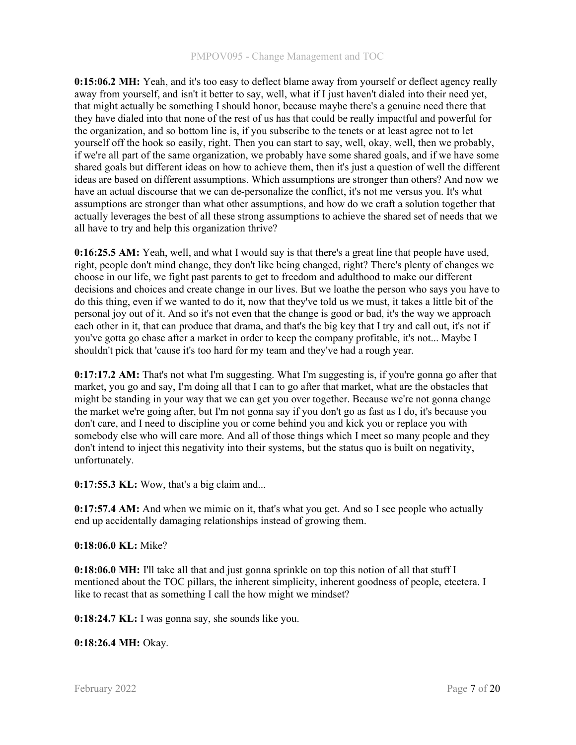0:15:06.2 MH: Yeah, and it's too easy to deflect blame away from yourself or deflect agency really away from yourself, and isn't it better to say, well, what if I just haven't dialed into their need yet, that might actually be something I should honor, because maybe there's a genuine need there that they have dialed into that none of the rest of us has that could be really impactful and powerful for the organization, and so bottom line is, if you subscribe to the tenets or at least agree not to let yourself off the hook so easily, right. Then you can start to say, well, okay, well, then we probably, if we're all part of the same organization, we probably have some shared goals, and if we have some shared goals but different ideas on how to achieve them, then it's just a question of well the different ideas are based on different assumptions. Which assumptions are stronger than others? And now we have an actual discourse that we can de-personalize the conflict, it's not me versus you. It's what assumptions are stronger than what other assumptions, and how do we craft a solution together that actually leverages the best of all these strong assumptions to achieve the shared set of needs that we all have to try and help this organization thrive?

0:16:25.5 AM: Yeah, well, and what I would say is that there's a great line that people have used, right, people don't mind change, they don't like being changed, right? There's plenty of changes we choose in our life, we fight past parents to get to freedom and adulthood to make our different decisions and choices and create change in our lives. But we loathe the person who says you have to do this thing, even if we wanted to do it, now that they've told us we must, it takes a little bit of the personal joy out of it. And so it's not even that the change is good or bad, it's the way we approach each other in it, that can produce that drama, and that's the big key that I try and call out, it's not if you've gotta go chase after a market in order to keep the company profitable, it's not... Maybe I shouldn't pick that 'cause it's too hard for my team and they've had a rough year.

0:17:17.2 AM: That's not what I'm suggesting. What I'm suggesting is, if you're gonna go after that market, you go and say, I'm doing all that I can to go after that market, what are the obstacles that might be standing in your way that we can get you over together. Because we're not gonna change the market we're going after, but I'm not gonna say if you don't go as fast as I do, it's because you don't care, and I need to discipline you or come behind you and kick you or replace you with somebody else who will care more. And all of those things which I meet so many people and they don't intend to inject this negativity into their systems, but the status quo is built on negativity, unfortunately.

 $0:17:55.3$  KL: Wow, that's a big claim and...

0:17:57.4 AM: And when we mimic on it, that's what you get. And so I see people who actually end up accidentally damaging relationships instead of growing them.

## 0:18:06.0 KL: Mike?

0:18:06.0 MH: I'll take all that and just gonna sprinkle on top this notion of all that stuff I mentioned about the TOC pillars, the inherent simplicity, inherent goodness of people, etcetera. I like to recast that as something I call the how might we mindset?

0:18:24.7 KL: I was gonna say, she sounds like you.

0:18:26.4 MH: Okay.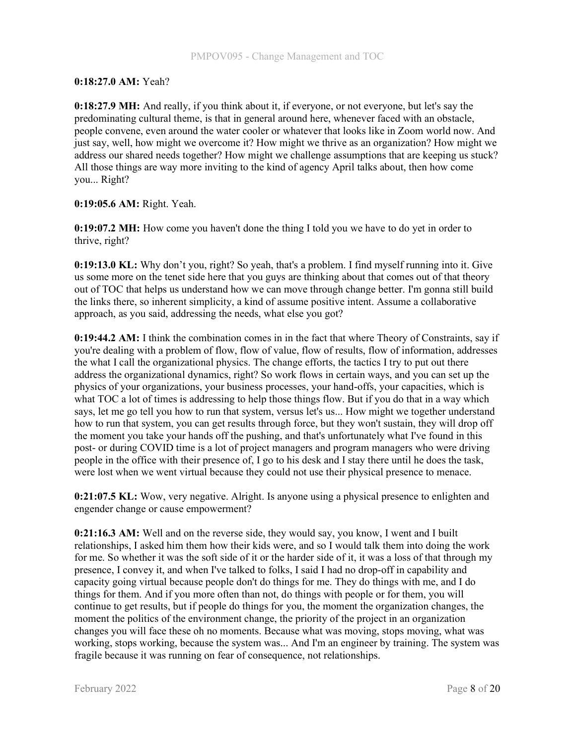# 0:18:27.0 AM: Yeah?

0:18:27.9 MH: And really, if you think about it, if everyone, or not everyone, but let's say the predominating cultural theme, is that in general around here, whenever faced with an obstacle, people convene, even around the water cooler or whatever that looks like in Zoom world now. And just say, well, how might we overcome it? How might we thrive as an organization? How might we address our shared needs together? How might we challenge assumptions that are keeping us stuck? All those things are way more inviting to the kind of agency April talks about, then how come you... Right?

# 0:19:05.6 AM: Right. Yeah.

0:19:07.2 MH: How come you haven't done the thing I told you we have to do yet in order to thrive, right?

0:19:13.0 KL: Why don't you, right? So yeah, that's a problem. I find myself running into it. Give us some more on the tenet side here that you guys are thinking about that comes out of that theory out of TOC that helps us understand how we can move through change better. I'm gonna still build the links there, so inherent simplicity, a kind of assume positive intent. Assume a collaborative approach, as you said, addressing the needs, what else you got?

0:19:44.2 AM: I think the combination comes in in the fact that where Theory of Constraints, say if you're dealing with a problem of flow, flow of value, flow of results, flow of information, addresses the what I call the organizational physics. The change efforts, the tactics I try to put out there address the organizational dynamics, right? So work flows in certain ways, and you can set up the physics of your organizations, your business processes, your hand-offs, your capacities, which is what TOC a lot of times is addressing to help those things flow. But if you do that in a way which says, let me go tell you how to run that system, versus let's us... How might we together understand how to run that system, you can get results through force, but they won't sustain, they will drop off the moment you take your hands off the pushing, and that's unfortunately what I've found in this post- or during COVID time is a lot of project managers and program managers who were driving people in the office with their presence of, I go to his desk and I stay there until he does the task, were lost when we went virtual because they could not use their physical presence to menace.

0:21:07.5 KL: Wow, very negative. Alright. Is anyone using a physical presence to enlighten and engender change or cause empowerment?

0:21:16.3 AM: Well and on the reverse side, they would say, you know, I went and I built relationships, I asked him them how their kids were, and so I would talk them into doing the work for me. So whether it was the soft side of it or the harder side of it, it was a loss of that through my presence, I convey it, and when I've talked to folks, I said I had no drop-off in capability and capacity going virtual because people don't do things for me. They do things with me, and I do things for them. And if you more often than not, do things with people or for them, you will continue to get results, but if people do things for you, the moment the organization changes, the moment the politics of the environment change, the priority of the project in an organization changes you will face these oh no moments. Because what was moving, stops moving, what was working, stops working, because the system was... And I'm an engineer by training. The system was fragile because it was running on fear of consequence, not relationships.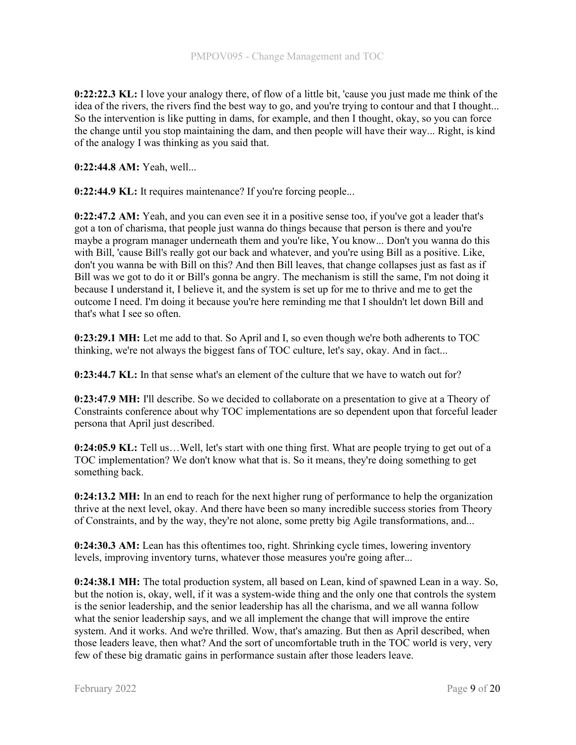0:22:22.3 KL: I love your analogy there, of flow of a little bit, 'cause you just made me think of the idea of the rivers, the rivers find the best way to go, and you're trying to contour and that I thought... So the intervention is like putting in dams, for example, and then I thought, okay, so you can force the change until you stop maintaining the dam, and then people will have their way... Right, is kind of the analogy I was thinking as you said that.

0:22:44.8 AM: Yeah, well...

0:22:44.9 KL: It requires maintenance? If you're forcing people...

0:22:47.2 AM: Yeah, and you can even see it in a positive sense too, if you've got a leader that's got a ton of charisma, that people just wanna do things because that person is there and you're maybe a program manager underneath them and you're like, You know... Don't you wanna do this with Bill, 'cause Bill's really got our back and whatever, and you're using Bill as a positive. Like, don't you wanna be with Bill on this? And then Bill leaves, that change collapses just as fast as if Bill was we got to do it or Bill's gonna be angry. The mechanism is still the same, I'm not doing it because I understand it, I believe it, and the system is set up for me to thrive and me to get the outcome I need. I'm doing it because you're here reminding me that I shouldn't let down Bill and that's what I see so often.

0:23:29.1 MH: Let me add to that. So April and I, so even though we're both adherents to TOC thinking, we're not always the biggest fans of TOC culture, let's say, okay. And in fact...

0:23:44.7 KL: In that sense what's an element of the culture that we have to watch out for?

0:23:47.9 MH: I'll describe. So we decided to collaborate on a presentation to give at a Theory of Constraints conference about why TOC implementations are so dependent upon that forceful leader persona that April just described.

0:24:05.9 KL: Tell us…Well, let's start with one thing first. What are people trying to get out of a TOC implementation? We don't know what that is. So it means, they're doing something to get something back.

0:24:13.2 MH: In an end to reach for the next higher rung of performance to help the organization thrive at the next level, okay. And there have been so many incredible success stories from Theory of Constraints, and by the way, they're not alone, some pretty big Agile transformations, and...

0:24:30.3 AM: Lean has this oftentimes too, right. Shrinking cycle times, lowering inventory levels, improving inventory turns, whatever those measures you're going after...

0:24:38.1 MH: The total production system, all based on Lean, kind of spawned Lean in a way. So, but the notion is, okay, well, if it was a system-wide thing and the only one that controls the system is the senior leadership, and the senior leadership has all the charisma, and we all wanna follow what the senior leadership says, and we all implement the change that will improve the entire system. And it works. And we're thrilled. Wow, that's amazing. But then as April described, when those leaders leave, then what? And the sort of uncomfortable truth in the TOC world is very, very few of these big dramatic gains in performance sustain after those leaders leave.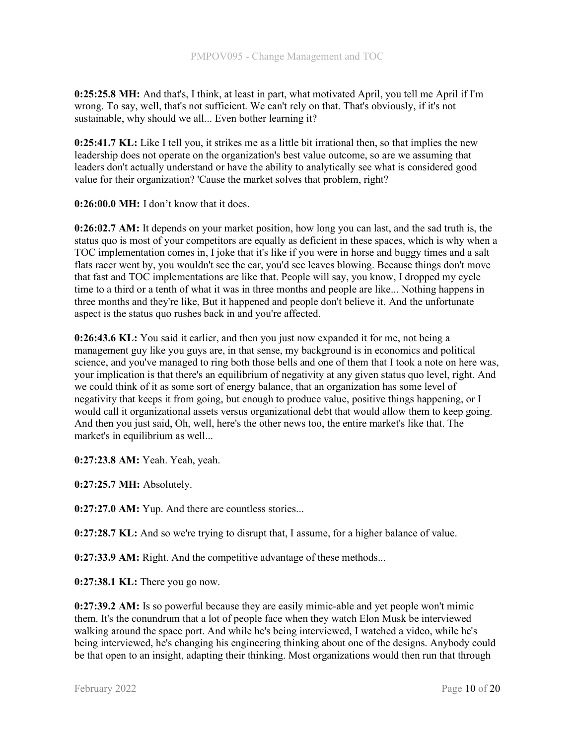0:25:25.8 MH: And that's, I think, at least in part, what motivated April, you tell me April if I'm wrong. To say, well, that's not sufficient. We can't rely on that. That's obviously, if it's not sustainable, why should we all... Even bother learning it?

0:25:41.7 KL: Like I tell you, it strikes me as a little bit irrational then, so that implies the new leadership does not operate on the organization's best value outcome, so are we assuming that leaders don't actually understand or have the ability to analytically see what is considered good value for their organization? 'Cause the market solves that problem, right?

0:26:00.0 MH: I don't know that it does.

0:26:02.7 AM: It depends on your market position, how long you can last, and the sad truth is, the status quo is most of your competitors are equally as deficient in these spaces, which is why when a TOC implementation comes in, I joke that it's like if you were in horse and buggy times and a salt flats racer went by, you wouldn't see the car, you'd see leaves blowing. Because things don't move that fast and TOC implementations are like that. People will say, you know, I dropped my cycle time to a third or a tenth of what it was in three months and people are like... Nothing happens in three months and they're like, But it happened and people don't believe it. And the unfortunate aspect is the status quo rushes back in and you're affected.

0:26:43.6 KL: You said it earlier, and then you just now expanded it for me, not being a management guy like you guys are, in that sense, my background is in economics and political science, and you've managed to ring both those bells and one of them that I took a note on here was, your implication is that there's an equilibrium of negativity at any given status quo level, right. And we could think of it as some sort of energy balance, that an organization has some level of negativity that keeps it from going, but enough to produce value, positive things happening, or I would call it organizational assets versus organizational debt that would allow them to keep going. And then you just said, Oh, well, here's the other news too, the entire market's like that. The market's in equilibrium as well...

0:27:23.8 AM: Yeah. Yeah, yeah.

0:27:25.7 MH: Absolutely.

0:27:27.0 AM: Yup. And there are countless stories...

0:27:28.7 KL: And so we're trying to disrupt that, I assume, for a higher balance of value.

0:27:33.9 AM: Right. And the competitive advantage of these methods...

0:27:38.1 KL: There you go now.

0:27:39.2 AM: Is so powerful because they are easily mimic-able and yet people won't mimic them. It's the conundrum that a lot of people face when they watch Elon Musk be interviewed walking around the space port. And while he's being interviewed, I watched a video, while he's being interviewed, he's changing his engineering thinking about one of the designs. Anybody could be that open to an insight, adapting their thinking. Most organizations would then run that through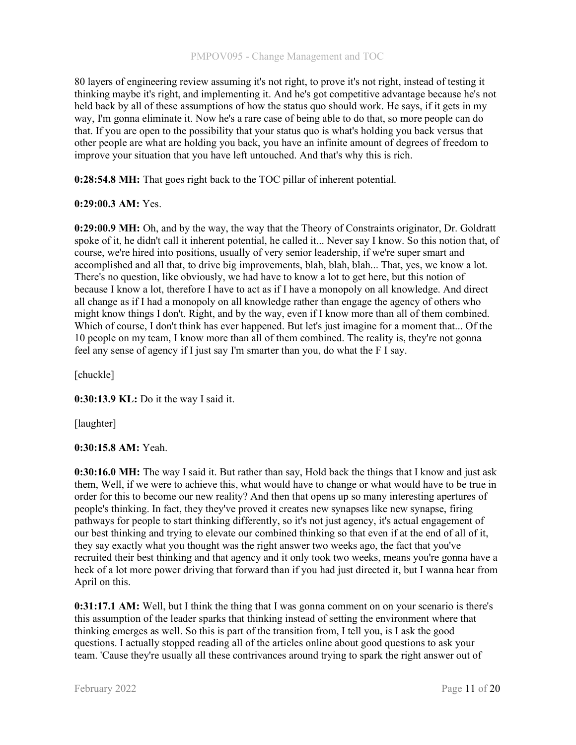80 layers of engineering review assuming it's not right, to prove it's not right, instead of testing it thinking maybe it's right, and implementing it. And he's got competitive advantage because he's not held back by all of these assumptions of how the status quo should work. He says, if it gets in my way, I'm gonna eliminate it. Now he's a rare case of being able to do that, so more people can do that. If you are open to the possibility that your status quo is what's holding you back versus that other people are what are holding you back, you have an infinite amount of degrees of freedom to improve your situation that you have left untouched. And that's why this is rich.

0:28:54.8 MH: That goes right back to the TOC pillar of inherent potential.

# 0:29:00.3 AM: Yes.

0:29:00.9 MH: Oh, and by the way, the way that the Theory of Constraints originator, Dr. Goldratt spoke of it, he didn't call it inherent potential, he called it... Never say I know. So this notion that, of course, we're hired into positions, usually of very senior leadership, if we're super smart and accomplished and all that, to drive big improvements, blah, blah, blah... That, yes, we know a lot. There's no question, like obviously, we had have to know a lot to get here, but this notion of because I know a lot, therefore I have to act as if I have a monopoly on all knowledge. And direct all change as if I had a monopoly on all knowledge rather than engage the agency of others who might know things I don't. Right, and by the way, even if I know more than all of them combined. Which of course, I don't think has ever happened. But let's just imagine for a moment that... Of the 10 people on my team, I know more than all of them combined. The reality is, they're not gonna feel any sense of agency if I just say I'm smarter than you, do what the F I say.

[chuckle]

0:30:13.9 KL: Do it the way I said it.

[laughter]

# 0:30:15.8 AM: Yeah.

0:30:16.0 MH: The way I said it. But rather than say, Hold back the things that I know and just ask them, Well, if we were to achieve this, what would have to change or what would have to be true in order for this to become our new reality? And then that opens up so many interesting apertures of people's thinking. In fact, they they've proved it creates new synapses like new synapse, firing pathways for people to start thinking differently, so it's not just agency, it's actual engagement of our best thinking and trying to elevate our combined thinking so that even if at the end of all of it, they say exactly what you thought was the right answer two weeks ago, the fact that you've recruited their best thinking and that agency and it only took two weeks, means you're gonna have a heck of a lot more power driving that forward than if you had just directed it, but I wanna hear from April on this.

0:31:17.1 AM: Well, but I think the thing that I was gonna comment on on your scenario is there's this assumption of the leader sparks that thinking instead of setting the environment where that thinking emerges as well. So this is part of the transition from, I tell you, is I ask the good questions. I actually stopped reading all of the articles online about good questions to ask your team. 'Cause they're usually all these contrivances around trying to spark the right answer out of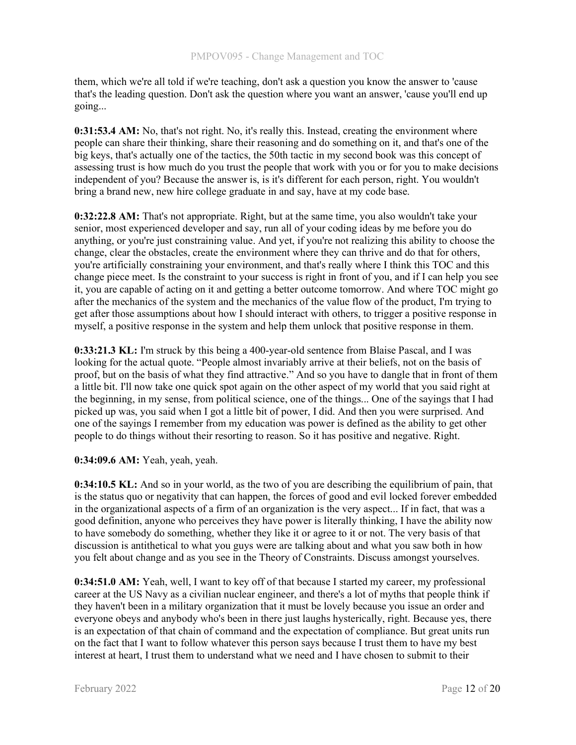them, which we're all told if we're teaching, don't ask a question you know the answer to 'cause that's the leading question. Don't ask the question where you want an answer, 'cause you'll end up going...

0:31:53.4 AM: No, that's not right. No, it's really this. Instead, creating the environment where people can share their thinking, share their reasoning and do something on it, and that's one of the big keys, that's actually one of the tactics, the 50th tactic in my second book was this concept of assessing trust is how much do you trust the people that work with you or for you to make decisions independent of you? Because the answer is, is it's different for each person, right. You wouldn't bring a brand new, new hire college graduate in and say, have at my code base.

0:32:22.8 AM: That's not appropriate. Right, but at the same time, you also wouldn't take your senior, most experienced developer and say, run all of your coding ideas by me before you do anything, or you're just constraining value. And yet, if you're not realizing this ability to choose the change, clear the obstacles, create the environment where they can thrive and do that for others, you're artificially constraining your environment, and that's really where I think this TOC and this change piece meet. Is the constraint to your success is right in front of you, and if I can help you see it, you are capable of acting on it and getting a better outcome tomorrow. And where TOC might go after the mechanics of the system and the mechanics of the value flow of the product, I'm trying to get after those assumptions about how I should interact with others, to trigger a positive response in myself, a positive response in the system and help them unlock that positive response in them.

0:33:21.3 KL: I'm struck by this being a 400-year-old sentence from Blaise Pascal, and I was looking for the actual quote. "People almost invariably arrive at their beliefs, not on the basis of proof, but on the basis of what they find attractive." And so you have to dangle that in front of them a little bit. I'll now take one quick spot again on the other aspect of my world that you said right at the beginning, in my sense, from political science, one of the things... One of the sayings that I had picked up was, you said when I got a little bit of power, I did. And then you were surprised. And one of the sayings I remember from my education was power is defined as the ability to get other people to do things without their resorting to reason. So it has positive and negative. Right.

0:34:09.6 AM: Yeah, yeah, yeah.

0:34:10.5 KL: And so in your world, as the two of you are describing the equilibrium of pain, that is the status quo or negativity that can happen, the forces of good and evil locked forever embedded in the organizational aspects of a firm of an organization is the very aspect... If in fact, that was a good definition, anyone who perceives they have power is literally thinking, I have the ability now to have somebody do something, whether they like it or agree to it or not. The very basis of that discussion is antithetical to what you guys were are talking about and what you saw both in how you felt about change and as you see in the Theory of Constraints. Discuss amongst yourselves.

0:34:51.0 AM: Yeah, well, I want to key off of that because I started my career, my professional career at the US Navy as a civilian nuclear engineer, and there's a lot of myths that people think if they haven't been in a military organization that it must be lovely because you issue an order and everyone obeys and anybody who's been in there just laughs hysterically, right. Because yes, there is an expectation of that chain of command and the expectation of compliance. But great units run on the fact that I want to follow whatever this person says because I trust them to have my best interest at heart, I trust them to understand what we need and I have chosen to submit to their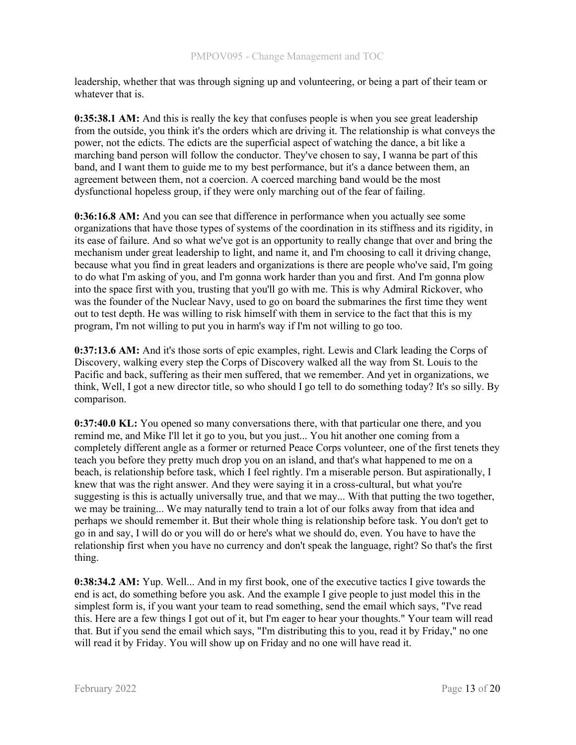leadership, whether that was through signing up and volunteering, or being a part of their team or whatever that is.

0:35:38.1 AM: And this is really the key that confuses people is when you see great leadership from the outside, you think it's the orders which are driving it. The relationship is what conveys the power, not the edicts. The edicts are the superficial aspect of watching the dance, a bit like a marching band person will follow the conductor. They've chosen to say, I wanna be part of this band, and I want them to guide me to my best performance, but it's a dance between them, an agreement between them, not a coercion. A coerced marching band would be the most dysfunctional hopeless group, if they were only marching out of the fear of failing.

0:36:16.8 AM: And you can see that difference in performance when you actually see some organizations that have those types of systems of the coordination in its stiffness and its rigidity, in its ease of failure. And so what we've got is an opportunity to really change that over and bring the mechanism under great leadership to light, and name it, and I'm choosing to call it driving change, because what you find in great leaders and organizations is there are people who've said, I'm going to do what I'm asking of you, and I'm gonna work harder than you and first. And I'm gonna plow into the space first with you, trusting that you'll go with me. This is why Admiral Rickover, who was the founder of the Nuclear Navy, used to go on board the submarines the first time they went out to test depth. He was willing to risk himself with them in service to the fact that this is my program, I'm not willing to put you in harm's way if I'm not willing to go too.

0:37:13.6 AM: And it's those sorts of epic examples, right. Lewis and Clark leading the Corps of Discovery, walking every step the Corps of Discovery walked all the way from St. Louis to the Pacific and back, suffering as their men suffered, that we remember. And yet in organizations, we think, Well, I got a new director title, so who should I go tell to do something today? It's so silly. By comparison.

0:37:40.0 KL: You opened so many conversations there, with that particular one there, and you remind me, and Mike I'll let it go to you, but you just... You hit another one coming from a completely different angle as a former or returned Peace Corps volunteer, one of the first tenets they teach you before they pretty much drop you on an island, and that's what happened to me on a beach, is relationship before task, which I feel rightly. I'm a miserable person. But aspirationally, I knew that was the right answer. And they were saying it in a cross-cultural, but what you're suggesting is this is actually universally true, and that we may... With that putting the two together, we may be training... We may naturally tend to train a lot of our folks away from that idea and perhaps we should remember it. But their whole thing is relationship before task. You don't get to go in and say, I will do or you will do or here's what we should do, even. You have to have the relationship first when you have no currency and don't speak the language, right? So that's the first thing.

0:38:34.2 AM: Yup. Well... And in my first book, one of the executive tactics I give towards the end is act, do something before you ask. And the example I give people to just model this in the simplest form is, if you want your team to read something, send the email which says, "I've read this. Here are a few things I got out of it, but I'm eager to hear your thoughts." Your team will read that. But if you send the email which says, "I'm distributing this to you, read it by Friday," no one will read it by Friday. You will show up on Friday and no one will have read it.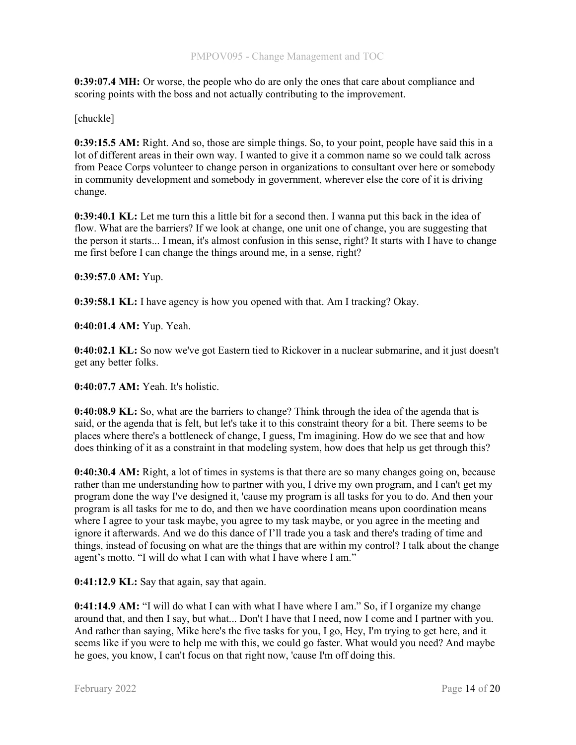0:39:07.4 MH: Or worse, the people who do are only the ones that care about compliance and scoring points with the boss and not actually contributing to the improvement.

# [chuckle]

0:39:15.5 AM: Right. And so, those are simple things. So, to your point, people have said this in a lot of different areas in their own way. I wanted to give it a common name so we could talk across from Peace Corps volunteer to change person in organizations to consultant over here or somebody in community development and somebody in government, wherever else the core of it is driving change.

0:39:40.1 KL: Let me turn this a little bit for a second then. I wanna put this back in the idea of flow. What are the barriers? If we look at change, one unit one of change, you are suggesting that the person it starts... I mean, it's almost confusion in this sense, right? It starts with I have to change me first before I can change the things around me, in a sense, right?

# 0:39:57.0 AM: Yup.

0:39:58.1 KL: I have agency is how you opened with that. Am I tracking? Okay.

0:40:01.4 AM: Yup. Yeah.

0:40:02.1 KL: So now we've got Eastern tied to Rickover in a nuclear submarine, and it just doesn't get any better folks.

0:40:07.7 AM: Yeah. It's holistic.

0:40:08.9 KL: So, what are the barriers to change? Think through the idea of the agenda that is said, or the agenda that is felt, but let's take it to this constraint theory for a bit. There seems to be places where there's a bottleneck of change, I guess, I'm imagining. How do we see that and how does thinking of it as a constraint in that modeling system, how does that help us get through this?

0:40:30.4 AM: Right, a lot of times in systems is that there are so many changes going on, because rather than me understanding how to partner with you, I drive my own program, and I can't get my program done the way I've designed it, 'cause my program is all tasks for you to do. And then your program is all tasks for me to do, and then we have coordination means upon coordination means where I agree to your task maybe, you agree to my task maybe, or you agree in the meeting and ignore it afterwards. And we do this dance of I'll trade you a task and there's trading of time and things, instead of focusing on what are the things that are within my control? I talk about the change agent's motto. "I will do what I can with what I have where I am."

0:41:12.9 KL: Say that again, say that again.

0:41:14.9 AM: "I will do what I can with what I have where I am." So, if I organize my change around that, and then I say, but what... Don't I have that I need, now I come and I partner with you. And rather than saying, Mike here's the five tasks for you, I go, Hey, I'm trying to get here, and it seems like if you were to help me with this, we could go faster. What would you need? And maybe he goes, you know, I can't focus on that right now, 'cause I'm off doing this.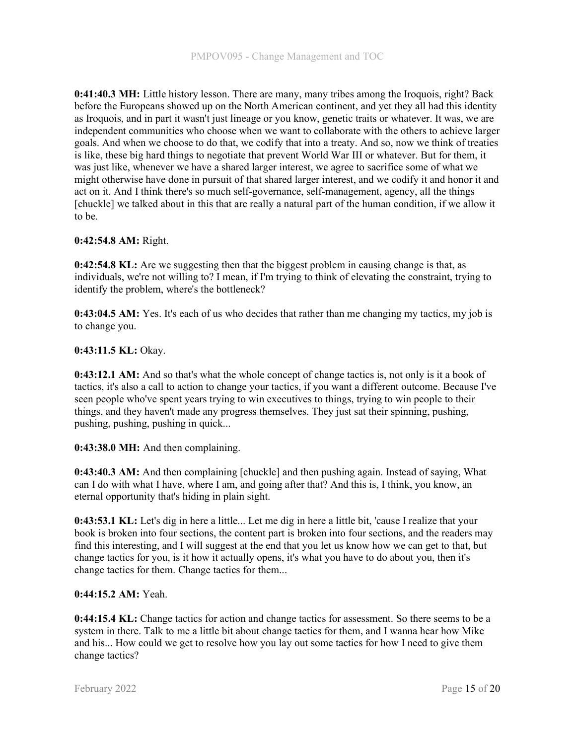0:41:40.3 MH: Little history lesson. There are many, many tribes among the Iroquois, right? Back before the Europeans showed up on the North American continent, and yet they all had this identity as Iroquois, and in part it wasn't just lineage or you know, genetic traits or whatever. It was, we are independent communities who choose when we want to collaborate with the others to achieve larger goals. And when we choose to do that, we codify that into a treaty. And so, now we think of treaties is like, these big hard things to negotiate that prevent World War III or whatever. But for them, it was just like, whenever we have a shared larger interest, we agree to sacrifice some of what we might otherwise have done in pursuit of that shared larger interest, and we codify it and honor it and act on it. And I think there's so much self-governance, self-management, agency, all the things [chuckle] we talked about in this that are really a natural part of the human condition, if we allow it to be.

# 0:42:54.8 AM: Right.

0:42:54.8 KL: Are we suggesting then that the biggest problem in causing change is that, as individuals, we're not willing to? I mean, if I'm trying to think of elevating the constraint, trying to identify the problem, where's the bottleneck?

0:43:04.5 AM: Yes. It's each of us who decides that rather than me changing my tactics, my job is to change you.

## 0:43:11.5 KL: Okay.

0:43:12.1 AM: And so that's what the whole concept of change tactics is, not only is it a book of tactics, it's also a call to action to change your tactics, if you want a different outcome. Because I've seen people who've spent years trying to win executives to things, trying to win people to their things, and they haven't made any progress themselves. They just sat their spinning, pushing, pushing, pushing, pushing in quick...

## 0:43:38.0 MH: And then complaining.

0:43:40.3 AM: And then complaining [chuckle] and then pushing again. Instead of saying, What can I do with what I have, where I am, and going after that? And this is, I think, you know, an eternal opportunity that's hiding in plain sight.

0:43:53.1 KL: Let's dig in here a little... Let me dig in here a little bit, 'cause I realize that your book is broken into four sections, the content part is broken into four sections, and the readers may find this interesting, and I will suggest at the end that you let us know how we can get to that, but change tactics for you, is it how it actually opens, it's what you have to do about you, then it's change tactics for them. Change tactics for them...

## 0:44:15.2 AM: Yeah.

0:44:15.4 KL: Change tactics for action and change tactics for assessment. So there seems to be a system in there. Talk to me a little bit about change tactics for them, and I wanna hear how Mike and his... How could we get to resolve how you lay out some tactics for how I need to give them change tactics?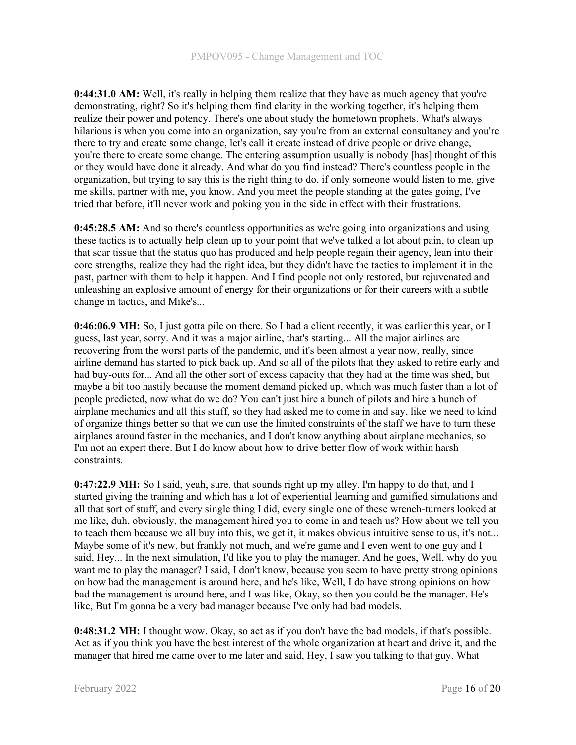0:44:31.0 AM: Well, it's really in helping them realize that they have as much agency that you're demonstrating, right? So it's helping them find clarity in the working together, it's helping them realize their power and potency. There's one about study the hometown prophets. What's always hilarious is when you come into an organization, say you're from an external consultancy and you're there to try and create some change, let's call it create instead of drive people or drive change, you're there to create some change. The entering assumption usually is nobody [has] thought of this or they would have done it already. And what do you find instead? There's countless people in the organization, but trying to say this is the right thing to do, if only someone would listen to me, give me skills, partner with me, you know. And you meet the people standing at the gates going, I've tried that before, it'll never work and poking you in the side in effect with their frustrations.

0:45:28.5 AM: And so there's countless opportunities as we're going into organizations and using these tactics is to actually help clean up to your point that we've talked a lot about pain, to clean up that scar tissue that the status quo has produced and help people regain their agency, lean into their core strengths, realize they had the right idea, but they didn't have the tactics to implement it in the past, partner with them to help it happen. And I find people not only restored, but rejuvenated and unleashing an explosive amount of energy for their organizations or for their careers with a subtle change in tactics, and Mike's...

0:46:06.9 MH: So, I just gotta pile on there. So I had a client recently, it was earlier this year, or I guess, last year, sorry. And it was a major airline, that's starting... All the major airlines are recovering from the worst parts of the pandemic, and it's been almost a year now, really, since airline demand has started to pick back up. And so all of the pilots that they asked to retire early and had buy-outs for... And all the other sort of excess capacity that they had at the time was shed, but maybe a bit too hastily because the moment demand picked up, which was much faster than a lot of people predicted, now what do we do? You can't just hire a bunch of pilots and hire a bunch of airplane mechanics and all this stuff, so they had asked me to come in and say, like we need to kind of organize things better so that we can use the limited constraints of the staff we have to turn these airplanes around faster in the mechanics, and I don't know anything about airplane mechanics, so I'm not an expert there. But I do know about how to drive better flow of work within harsh constraints.

0:47:22.9 MH: So I said, yeah, sure, that sounds right up my alley. I'm happy to do that, and I started giving the training and which has a lot of experiential learning and gamified simulations and all that sort of stuff, and every single thing I did, every single one of these wrench-turners looked at me like, duh, obviously, the management hired you to come in and teach us? How about we tell you to teach them because we all buy into this, we get it, it makes obvious intuitive sense to us, it's not... Maybe some of it's new, but frankly not much, and we're game and I even went to one guy and I said, Hey... In the next simulation, I'd like you to play the manager. And he goes, Well, why do you want me to play the manager? I said, I don't know, because you seem to have pretty strong opinions on how bad the management is around here, and he's like, Well, I do have strong opinions on how bad the management is around here, and I was like, Okay, so then you could be the manager. He's like, But I'm gonna be a very bad manager because I've only had bad models.

0:48:31.2 MH: I thought wow. Okay, so act as if you don't have the bad models, if that's possible. Act as if you think you have the best interest of the whole organization at heart and drive it, and the manager that hired me came over to me later and said, Hey, I saw you talking to that guy. What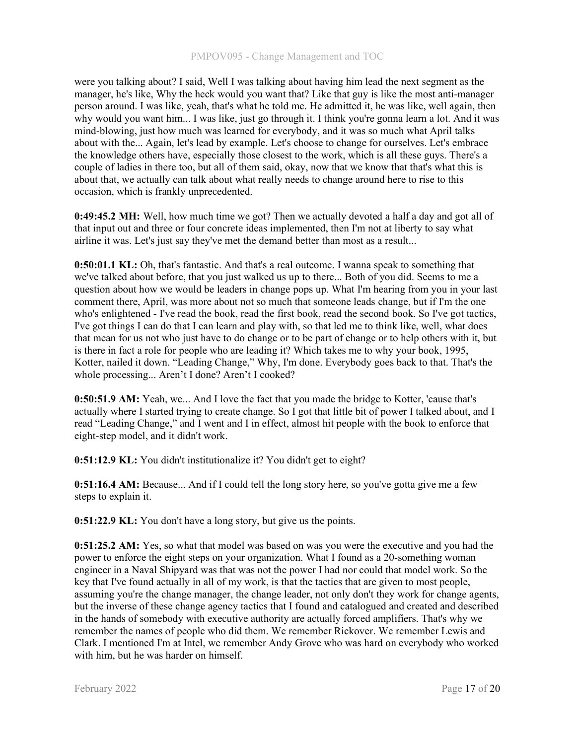were you talking about? I said, Well I was talking about having him lead the next segment as the manager, he's like, Why the heck would you want that? Like that guy is like the most anti-manager person around. I was like, yeah, that's what he told me. He admitted it, he was like, well again, then why would you want him... I was like, just go through it. I think you're gonna learn a lot. And it was mind-blowing, just how much was learned for everybody, and it was so much what April talks about with the... Again, let's lead by example. Let's choose to change for ourselves. Let's embrace the knowledge others have, especially those closest to the work, which is all these guys. There's a couple of ladies in there too, but all of them said, okay, now that we know that that's what this is about that, we actually can talk about what really needs to change around here to rise to this occasion, which is frankly unprecedented.

0:49:45.2 MH: Well, how much time we got? Then we actually devoted a half a day and got all of that input out and three or four concrete ideas implemented, then I'm not at liberty to say what airline it was. Let's just say they've met the demand better than most as a result...

0:50:01.1 KL: Oh, that's fantastic. And that's a real outcome. I wanna speak to something that we've talked about before, that you just walked us up to there... Both of you did. Seems to me a question about how we would be leaders in change pops up. What I'm hearing from you in your last comment there, April, was more about not so much that someone leads change, but if I'm the one who's enlightened - I've read the book, read the first book, read the second book. So I've got tactics, I've got things I can do that I can learn and play with, so that led me to think like, well, what does that mean for us not who just have to do change or to be part of change or to help others with it, but is there in fact a role for people who are leading it? Which takes me to why your book, 1995, Kotter, nailed it down. "Leading Change," Why, I'm done. Everybody goes back to that. That's the whole processing... Aren't I done? Aren't I cooked?

0:50:51.9 AM: Yeah, we... And I love the fact that you made the bridge to Kotter, 'cause that's actually where I started trying to create change. So I got that little bit of power I talked about, and I read "Leading Change," and I went and I in effect, almost hit people with the book to enforce that eight-step model, and it didn't work.

0:51:12.9 KL: You didn't institutionalize it? You didn't get to eight?

0:51:16.4 AM: Because... And if I could tell the long story here, so you've gotta give me a few steps to explain it.

0:51:22.9 KL: You don't have a long story, but give us the points.

0:51:25.2 AM: Yes, so what that model was based on was you were the executive and you had the power to enforce the eight steps on your organization. What I found as a 20-something woman engineer in a Naval Shipyard was that was not the power I had nor could that model work. So the key that I've found actually in all of my work, is that the tactics that are given to most people, assuming you're the change manager, the change leader, not only don't they work for change agents, but the inverse of these change agency tactics that I found and catalogued and created and described in the hands of somebody with executive authority are actually forced amplifiers. That's why we remember the names of people who did them. We remember Rickover. We remember Lewis and Clark. I mentioned I'm at Intel, we remember Andy Grove who was hard on everybody who worked with him, but he was harder on himself.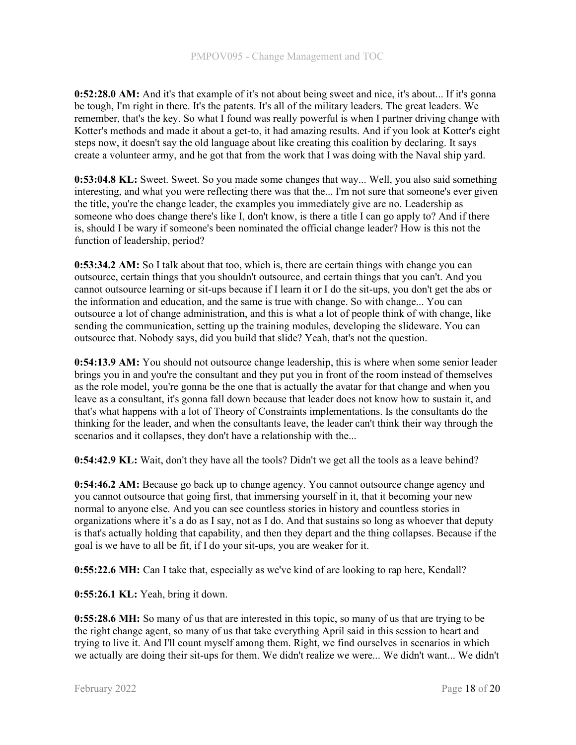0:52:28.0 AM: And it's that example of it's not about being sweet and nice, it's about... If it's gonna be tough, I'm right in there. It's the patents. It's all of the military leaders. The great leaders. We remember, that's the key. So what I found was really powerful is when I partner driving change with Kotter's methods and made it about a get-to, it had amazing results. And if you look at Kotter's eight steps now, it doesn't say the old language about like creating this coalition by declaring. It says create a volunteer army, and he got that from the work that I was doing with the Naval ship yard.

0:53:04.8 KL: Sweet. Sweet. So you made some changes that way... Well, you also said something interesting, and what you were reflecting there was that the... I'm not sure that someone's ever given the title, you're the change leader, the examples you immediately give are no. Leadership as someone who does change there's like I, don't know, is there a title I can go apply to? And if there is, should I be wary if someone's been nominated the official change leader? How is this not the function of leadership, period?

0:53:34.2 AM: So I talk about that too, which is, there are certain things with change you can outsource, certain things that you shouldn't outsource, and certain things that you can't. And you cannot outsource learning or sit-ups because if I learn it or I do the sit-ups, you don't get the abs or the information and education, and the same is true with change. So with change... You can outsource a lot of change administration, and this is what a lot of people think of with change, like sending the communication, setting up the training modules, developing the slideware. You can outsource that. Nobody says, did you build that slide? Yeah, that's not the question.

0:54:13.9 AM: You should not outsource change leadership, this is where when some senior leader brings you in and you're the consultant and they put you in front of the room instead of themselves as the role model, you're gonna be the one that is actually the avatar for that change and when you leave as a consultant, it's gonna fall down because that leader does not know how to sustain it, and that's what happens with a lot of Theory of Constraints implementations. Is the consultants do the thinking for the leader, and when the consultants leave, the leader can't think their way through the scenarios and it collapses, they don't have a relationship with the...

0:54:42.9 KL: Wait, don't they have all the tools? Didn't we get all the tools as a leave behind?

0:54:46.2 AM: Because go back up to change agency. You cannot outsource change agency and you cannot outsource that going first, that immersing yourself in it, that it becoming your new normal to anyone else. And you can see countless stories in history and countless stories in organizations where it's a do as I say, not as I do. And that sustains so long as whoever that deputy is that's actually holding that capability, and then they depart and the thing collapses. Because if the goal is we have to all be fit, if I do your sit-ups, you are weaker for it.

0:55:22.6 MH: Can I take that, especially as we've kind of are looking to rap here, Kendall?

0:55:26.1 KL: Yeah, bring it down.

0:55:28.6 MH: So many of us that are interested in this topic, so many of us that are trying to be the right change agent, so many of us that take everything April said in this session to heart and trying to live it. And I'll count myself among them. Right, we find ourselves in scenarios in which we actually are doing their sit-ups for them. We didn't realize we were... We didn't want... We didn't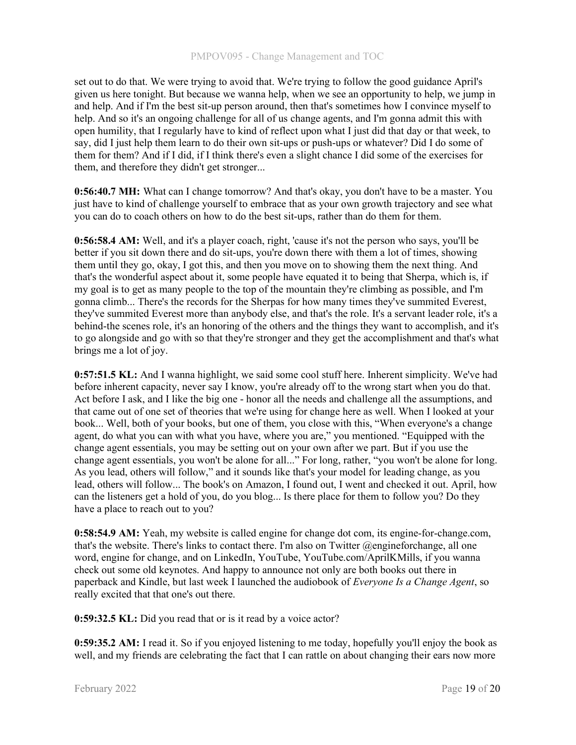set out to do that. We were trying to avoid that. We're trying to follow the good guidance April's given us here tonight. But because we wanna help, when we see an opportunity to help, we jump in and help. And if I'm the best sit-up person around, then that's sometimes how I convince myself to help. And so it's an ongoing challenge for all of us change agents, and I'm gonna admit this with open humility, that I regularly have to kind of reflect upon what I just did that day or that week, to say, did I just help them learn to do their own sit-ups or push-ups or whatever? Did I do some of them for them? And if I did, if I think there's even a slight chance I did some of the exercises for them, and therefore they didn't get stronger...

0:56:40.7 MH: What can I change tomorrow? And that's okay, you don't have to be a master. You just have to kind of challenge yourself to embrace that as your own growth trajectory and see what you can do to coach others on how to do the best sit-ups, rather than do them for them.

0:56:58.4 AM: Well, and it's a player coach, right, 'cause it's not the person who says, you'll be better if you sit down there and do sit-ups, you're down there with them a lot of times, showing them until they go, okay, I got this, and then you move on to showing them the next thing. And that's the wonderful aspect about it, some people have equated it to being that Sherpa, which is, if my goal is to get as many people to the top of the mountain they're climbing as possible, and I'm gonna climb... There's the records for the Sherpas for how many times they've summited Everest, they've summited Everest more than anybody else, and that's the role. It's a servant leader role, it's a behind-the scenes role, it's an honoring of the others and the things they want to accomplish, and it's to go alongside and go with so that they're stronger and they get the accomplishment and that's what brings me a lot of joy.

0:57:51.5 KL: And I wanna highlight, we said some cool stuff here. Inherent simplicity. We've had before inherent capacity, never say I know, you're already off to the wrong start when you do that. Act before I ask, and I like the big one - honor all the needs and challenge all the assumptions, and that came out of one set of theories that we're using for change here as well. When I looked at your book... Well, both of your books, but one of them, you close with this, "When everyone's a change agent, do what you can with what you have, where you are," you mentioned. "Equipped with the change agent essentials, you may be setting out on your own after we part. But if you use the change agent essentials, you won't be alone for all..." For long, rather, "you won't be alone for long. As you lead, others will follow," and it sounds like that's your model for leading change, as you lead, others will follow... The book's on Amazon, I found out, I went and checked it out. April, how can the listeners get a hold of you, do you blog... Is there place for them to follow you? Do they have a place to reach out to you?

0:58:54.9 AM: Yeah, my website is called engine for change dot com, its engine-for-change.com, that's the website. There's links to contact there. I'm also on Twitter  $\omega$  engineforchange, all one word, engine for change, and on LinkedIn, YouTube, YouTube.com/AprilKMills, if you wanna check out some old keynotes. And happy to announce not only are both books out there in paperback and Kindle, but last week I launched the audiobook of Everyone Is a Change Agent, so really excited that that one's out there.

0:59:32.5 KL: Did you read that or is it read by a voice actor?

0:59:35.2 AM: I read it. So if you enjoyed listening to me today, hopefully you'll enjoy the book as well, and my friends are celebrating the fact that I can rattle on about changing their ears now more